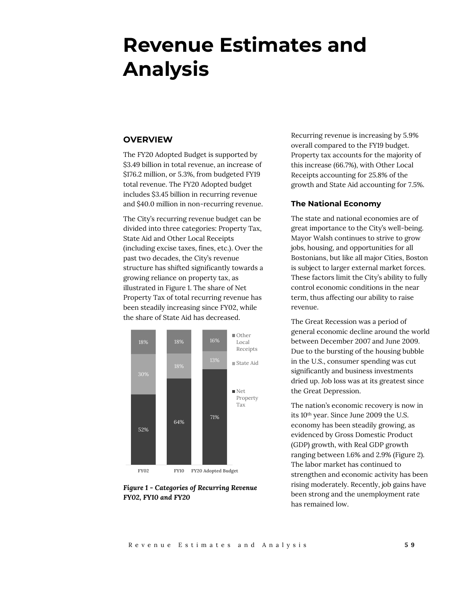# **Revenue Estimates and Analysis**

# **OVERVIEW**

The FY20 Adopted Budget is supported by \$3.49 billion in total revenue, an increase of \$176.2 million, or 5.3%, from budgeted FY19 total revenue. The FY20 Adopted budget includes \$3.45 billion in recurring revenue and \$40.0 million in non-recurring revenue.

The City's recurring revenue budget can be divided into three categories: Property Tax, State Aid and Other Local Receipts (including excise taxes, fines, etc.). Over the past two decades, the City's revenue structure has shifted significantly towards a growing reliance on property tax, as illustrated in Figure 1. The share of Net Property Tax of total recurring revenue has been steadily increasing since FY02, while the share of State Aid has decreased.



*Figure 1 - Categories of Recurring Revenue FY02, FY10 and FY20*

Recurring revenue is increasing by 5.9% overall compared to the FY19 budget. Property tax accounts for the majority of this increase (66.7%), with Other Local Receipts accounting for 25.8% of the growth and State Aid accounting for 7.5%.

## **The National Economy**

The state and national economies are of great importance to the City's well-being. Mayor Walsh continues to strive to grow jobs, housing, and opportunities for all Bostonians, but like all major Cities, Boston is subject to larger external market forces. These factors limit the City's ability to fully control economic conditions in the near term, thus affecting our ability to raise revenue.

The Great Recession was a period of general economic decline around the world between December 2007 and June 2009. Due to the bursting of the housing bubble in the U.S., consumer spending was cut significantly and business investments dried up. Job loss was at its greatest since the Great Depression.

The nation's economic recovery is now in its 10th year. Since June 2009 the U.S. economy has been steadily growing, as evidenced by Gross Domestic Product (GDP) growth, with Real GDP growth ranging between 1.6% and 2.9% (Figure 2). The labor market has continued to strengthen and economic activity has been rising moderately. Recently, job gains have been strong and the unemployment rate has remained low.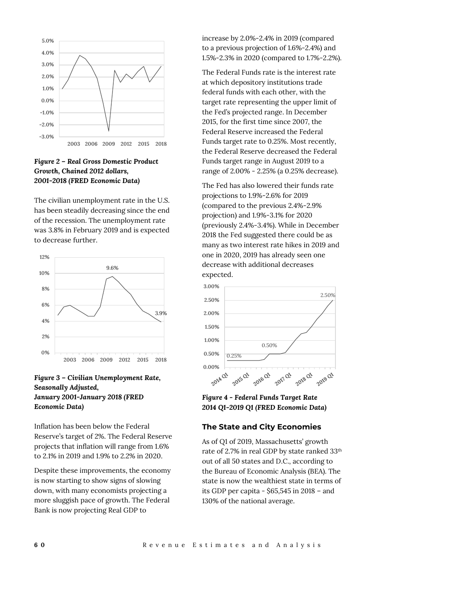

# *Figure 2 – Real Gross Domestic Product Growth, Chained 2012 dollars, 2001-2018 (FRED Economic Data)*

The civilian unemployment rate in the U.S. has been steadily decreasing since the end of the recession. The unemployment rate was 3.8% in February 2019 and is expected to decrease further.



# *Figure 3 – Civilian Unemployment Rate, Seasonally Adjusted, January 2001-January 2018 (FRED Economic Data)*

Inflation has been below the Federal Reserve's target of 2%. The Federal Reserve projects that inflation will range from 1.6% to 2.1% in 2019 and 1.9% to 2.2% in 2020.

Despite these improvements, the economy is now starting to show signs of slowing down, with many economists projecting a more sluggish pace of growth. The Federal Bank is now projecting Real GDP to

increase by 2.0%-2.4% in 2019 (compared to a previous projection of 1.6%-2.4%) and 1.5%-2.3% in 2020 (compared to 1.7%-2.2%).

The Federal Funds rate is the interest rate at which depository institutions trade federal funds with each other, with the target rate representing the upper limit of the Fed's projected range. In December 2015, for the first time since 2007, the Federal Reserve increased the Federal Funds target rate to 0.25%. Most recently, the Federal Reserve decreased the Federal Funds target range in August 2019 to a range of 2.00% - 2.25% (a 0.25% decrease).

The Fed has also lowered their funds rate projections to 1.9%-2.6% for 2019 (compared to the previous 2.4%-2.9% projection) and 1.9%-3.1% for 2020 (previously 2.4%-3.4%). While in December 2018 the Fed suggested there could be as many as two interest rate hikes in 2019 and one in 2020, 2019 has already seen one decrease with additional decreases expected.



## *Figure 4 - Federal Funds Target Rate 2014 Q1-2019 Q1 (FRED Economic Data)*

# **The State and City Economies**

As of Q1 of 2019, Massachusetts' growth rate of 2.7% in real GDP by state ranked 33th out of all 50 states and D.C., according to the Bureau of Economic Analysis (BEA). The state is now the wealthiest state in terms of its GDP per capita - \$65,545 in 2018 – and 130% of the national average.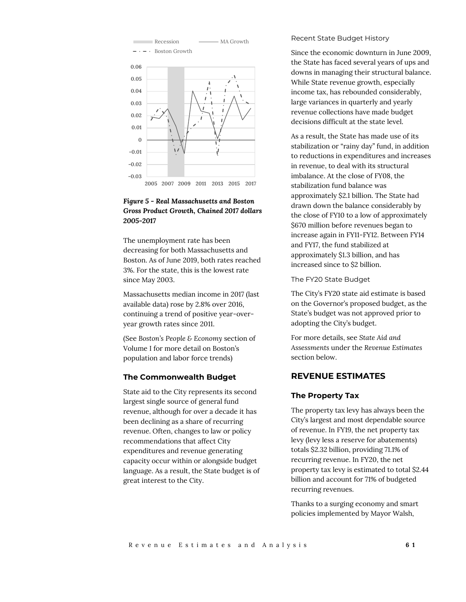

# *Figure 5 - Real Massachusetts and Boston Gross Product Growth, Chained 2017 dollars 2005-2017*

The unemployment rate has been decreasing for both Massachusetts and Boston. As of June 2019, both rates reached 3%. For the state, this is the lowest rate since May 2003.

Massachusetts median income in 2017 (last available data) rose by 2.8% over 2016, continuing a trend of positive year-overyear growth rates since 2011.

(See *Boston's People & Economy* section of Volume I for more detail on Boston's population and labor force trends)

## **The Commonwealth Budget**

State aid to the City represents its second largest single source of general fund revenue, although for over a decade it has been declining as a share of recurring revenue. Often, changes to law or policy recommendations that affect City expenditures and revenue generating capacity occur within or alongside budget language. As a result, the State budget is of great interest to the City.

#### Recent State Budget History

Since the economic downturn in June 2009, the State has faced several years of ups and downs in managing their structural balance. While State revenue growth, especially income tax, has rebounded considerably, large variances in quarterly and yearly revenue collections have made budget decisions difficult at the state level.

As a result, the State has made use of its stabilization or "rainy day" fund, in addition to reductions in expenditures and increases in revenue, to deal with its structural imbalance. At the close of FY08, the stabilization fund balance was approximately \$2.1 billion. The State had drawn down the balance considerably by the close of FY10 to a low of approximately \$670 million before revenues began to increase again in FY11-FY12. Between FY14 and FY17, the fund stabilized at approximately \$1.3 billion, and has increased since to \$2 billion.

The FY20 State Budget

The City's FY20 state aid estimate is based on the Governor's proposed budget, as the State's budget was not approved prior to adopting the City's budget.

For more details, see *State Aid and Assessments* under the *Revenue Estimates* section below.

# **REVENUE ESTIMATES**

## **The Property Tax**

The property tax levy has always been the City's largest and most dependable source of revenue. In FY19, the net property tax levy (levy less a reserve for abatements) totals \$2.32 billion, providing 71.1% of recurring revenue. In FY20, the net property tax levy is estimated to total \$2.44 billion and account for 71% of budgeted recurring revenues.

Thanks to a surging economy and smart policies implemented by Mayor Walsh,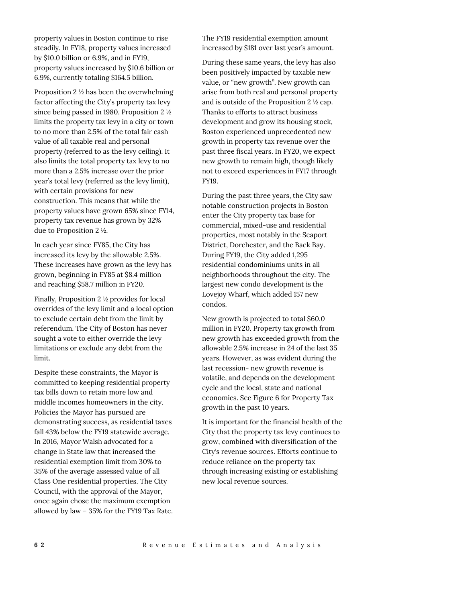property values in Boston continue to rise steadily. In FY18, property values increased by \$10.0 billion or 6.9%, and in FY19, property values increased by \$10.6 billion or 6.9%, currently totaling \$164.5 billion.

Proposition 2 ½ has been the overwhelming factor affecting the City's property tax levy since being passed in 1980. Proposition 2 ½ limits the property tax levy in a city or town to no more than 2.5% of the total fair cash value of all taxable real and personal property (referred to as the levy ceiling). It also limits the total property tax levy to no more than a 2.5% increase over the prior year's total levy (referred as the levy limit), with certain provisions for new construction. This means that while the property values have grown 65% since FY14, property tax revenue has grown by 32% due to Proposition 2 ½.

In each year since FY85, the City has increased its levy by the allowable 2.5%. These increases have grown as the levy has grown, beginning in FY85 at \$8.4 million and reaching \$58.7 million in FY20.

Finally, Proposition 2 ½ provides for local overrides of the levy limit and a local option to exclude certain debt from the limit by referendum. The City of Boston has never sought a vote to either override the levy limitations or exclude any debt from the limit.

Despite these constraints, the Mayor is committed to keeping residential property tax bills down to retain more low and middle incomes homeowners in the city. Policies the Mayor has pursued are demonstrating success, as residential taxes fall 43% below the FY19 statewide average. In 2016, Mayor Walsh advocated for a change in State law that increased the residential exemption limit from 30% to 35% of the average assessed value of all Class One residential properties. The City Council, with the approval of the Mayor, once again chose the maximum exemption allowed by law – 35% for the FY19 Tax Rate. The FY19 residential exemption amount increased by \$181 over last year's amount.

During these same years, the levy has also been positively impacted by taxable new value, or "new growth". New growth can arise from both real and personal property and is outside of the Proposition 2 ½ cap. Thanks to efforts to attract business development and grow its housing stock, Boston experienced unprecedented new growth in property tax revenue over the past three fiscal years. In FY20, we expect new growth to remain high, though likely not to exceed experiences in FY17 through FY19.

During the past three years, the City saw notable construction projects in Boston enter the City property tax base for commercial, mixed-use and residential properties, most notably in the Seaport District, Dorchester, and the Back Bay. During FY19, the City added 1,295 residential condominiums units in all neighborhoods throughout the city. The largest new condo development is the Lovejoy Wharf, which added 157 new condos.

New growth is projected to total \$60.0 million in FY20. Property tax growth from new growth has exceeded growth from the allowable 2.5% increase in 24 of the last 35 years. However, as was evident during the last recession- new growth revenue is volatile, and depends on the development cycle and the local, state and national economies. See Figure 6 for Property Tax growth in the past 10 years.

It is important for the financial health of the City that the property tax levy continues to grow, combined with diversification of the City's revenue sources. Efforts continue to reduce reliance on the property tax through increasing existing or establishing new local revenue sources.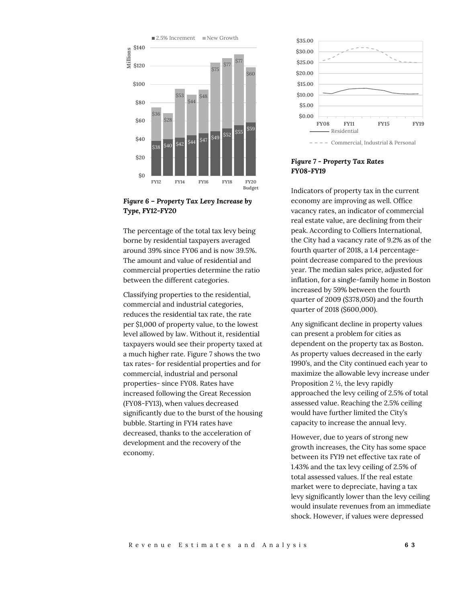

*Figure 6 – Property Tax Levy Increase by Type, FY12-FY20*

The percentage of the total tax levy being borne by residential taxpayers averaged around 39% since FY06 and is now 39.5%. The amount and value of residential and commercial properties determine the ratio between the different categories.

Classifying properties to the residential, commercial and industrial categories, reduces the residential tax rate, the rate per \$1,000 of property value, to the lowest level allowed by law. Without it, residential taxpayers would see their property taxed at a much higher rate. Figure 7 shows the two tax rates- for residential properties and for commercial, industrial and personal properties- since FY08. Rates have increased following the Great Recession (FY08-FY13), when values decreased significantly due to the burst of the housing bubble. Starting in FY14 rates have decreased, thanks to the acceleration of development and the recovery of the economy.



## *Figure 7 - Property Tax Rates FY08-FY19*

Indicators of property tax in the current economy are improving as well. Office vacancy rates, an indicator of commercial real estate value, are declining from their peak. According to Colliers International, the City had a vacancy rate of 9.2% as of the fourth quarter of 2018, a 1.4 percentagepoint decrease compared to the previous year. The median sales price, adjusted for inflation, for a single-family home in Boston increased by 59% between the fourth quarter of 2009 (\$378,050) and the fourth quarter of 2018 (\$600,000).

Any significant decline in property values can present a problem for cities as dependent on the property tax as Boston. As property values decreased in the early 1990's, and the City continued each year to maximize the allowable levy increase under Proposition 2 ½, the levy rapidly approached the levy ceiling of 2.5% of total assessed value. Reaching the 2.5% ceiling would have further limited the City's capacity to increase the annual levy.

However, due to years of strong new growth increases, the City has some space between its FY19 net effective tax rate of 1.43% and the tax levy ceiling of 2.5% of total assessed values. If the real estate market were to depreciate, having a tax levy significantly lower than the levy ceiling would insulate revenues from an immediate shock. However, if values were depressed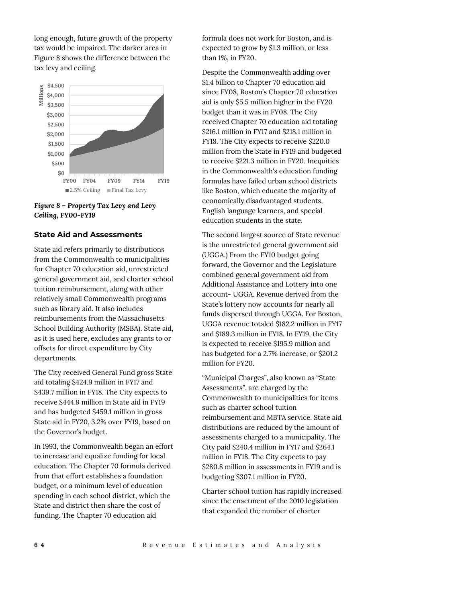long enough, future growth of the property tax would be impaired. The darker area in Figure 8 shows the difference between the tax levy and ceiling.



*Figure 8 – Property Tax Levy and Levy Ceiling, FY00-FY19*

# **State Aid and Assessments**

State aid refers primarily to distributions from the Commonwealth to municipalities for Chapter 70 education aid, unrestricted general government aid, and charter school tuition reimbursement, along with other relatively small Commonwealth programs such as library aid. It also includes reimbursements from the Massachusetts School Building Authority (MSBA). State aid, as it is used here, excludes any grants to or offsets for direct expenditure by City departments.

The City received General Fund gross State aid totaling \$424.9 million in FY17 and \$439.7 million in FY18. The City expects to receive \$444.9 million in State aid in FY19 and has budgeted \$459.1 million in gross State aid in FY20, 3.2% over FY19, based on the Governor's budget.

In 1993, the Commonwealth began an effort to increase and equalize funding for local education. The Chapter 70 formula derived from that effort establishes a foundation budget, or a minimum level of education spending in each school district, which the State and district then share the cost of funding. The Chapter 70 education aid

formula does not work for Boston, and is expected to grow by \$1.3 million, or less than 1%, in FY20.

Despite the Commonwealth adding over \$1.4 billion to Chapter 70 education aid since FY08, Boston's Chapter 70 education aid is only \$5.5 million higher in the FY20 budget than it was in FY08. The City received Chapter 70 education aid totaling \$216.1 million in FY17 and \$218.1 million in FY18. The City expects to receive \$220.0 million from the State in FY19 and budgeted to receive \$221.3 million in FY20. Inequities in the Commonwealth's education funding formulas have failed urban school districts like Boston, which educate the majority of economically disadvantaged students, English language learners, and special education students in the state.

The second largest source of State revenue is the unrestricted general government aid (UGGA.) From the FY10 budget going forward, the Governor and the Legislature combined general government aid from Additional Assistance and Lottery into one account- UGGA. Revenue derived from the State's lottery now accounts for nearly all funds dispersed through UGGA. For Boston, UGGA revenue totaled \$182.2 million in FY17 and \$189.3 million in FY18. In FY19, the City is expected to receive \$195.9 million and has budgeted for a 2.7% increase, or \$201.2 million for FY20.

"Municipal Charges", also known as "State Assessments", are charged by the Commonwealth to municipalities for items such as charter school tuition reimbursement and MBTA service. State aid distributions are reduced by the amount of assessments charged to a municipality. The City paid \$240.4 million in FY17 and \$264.1 million in FY18. The City expects to pay \$280.8 million in assessments in FY19 and is budgeting \$307.1 million in FY20.

Charter school tuition has rapidly increased since the enactment of the 2010 legislation that expanded the number of charter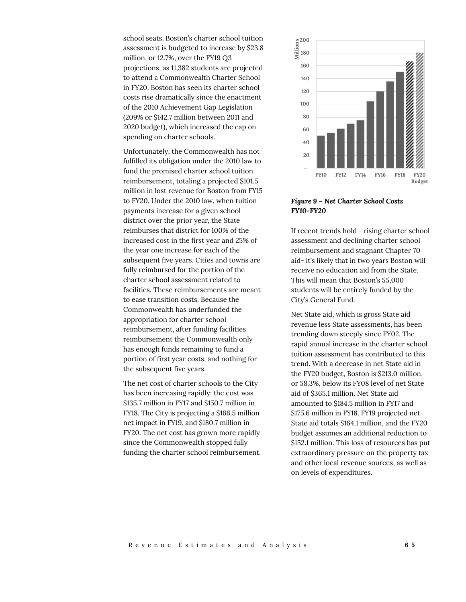school seats. Boston's charter school tuition assessment is budgeted to increase by \$23.8 million, or 12.7%, over the FY19 Q3 projections, as 11,382 students are projected to attend a Commonwealth Charter School in FY20. Boston has seen its charter school costs rise dramatically since the enactment of the 2010 Achievement Gap Legislation (209% or \$142.7 million between 2011 and 2020 budget), which increased the cap on spending on charter schools.

Unfortunately, the Commonwealth has not fulfilled its obligation under the 2010 law to fund the promised charter school tuition reimbursement, totaling a projected \$101.5 million in lost revenue for Boston from FY15 to FY20. Under the 2010 law, when tuition payments increase for a given school district over the prior year, the State reimburses that district for 100% of the increased cost in the first year and 25% of the year one increase for each of the subsequent five years. Cities and towns are fully reimbursed for the portion of the charter school assessment related to facilities. These reimbursements are meant to ease transition costs. Because the Commonwealth has underfunded the appropriation for charter school reimbursement, after funding facilities reimbursement the Commonwealth only has enough funds remaining to fund a portion of first year costs, and nothing for the subsequent five years.

The net cost of charter schools to the City has been increasing rapidly: the cost was \$135.7 million in FY17 and \$150.7 million in FY18. The City is projecting a \$166.5 million net impact in FY19, and \$180.7 million in FY20. The net cost has grown more rapidly since the Commonwealth stopped fully funding the charter school reimbursement.



*Figure 9 – Net Charter School Costs FY10-FY20*

If recent trends hold - rising charter school assessment and declining charter school reimbursement and stagnant Chapter 70 aid- it's likely that in two years Boston will receive no education aid from the State. This will mean that Boston's 55,000 students will be entirely funded by the City's General Fund.

Net State aid, which is gross State aid revenue less State assessments, has been trending down steeply since FY02. The rapid annual increase in the charter school tuition assessment has contributed to this trend. With a decrease in net State aid in the FY20 budget, Boston is \$213.0 million, or 58.3%, below its FY08 level of net State aid of \$365.1 million. Net State aid amounted to \$184.5 million in FY17 and \$175.6 million in FY18. FY19 projected net State aid totals \$164.1 million, and the FY20 budget assumes an additional reduction to \$152.1 million. This loss of resources has put extraordinary pressure on the property tax and other local revenue sources, as well as on levels of expenditures.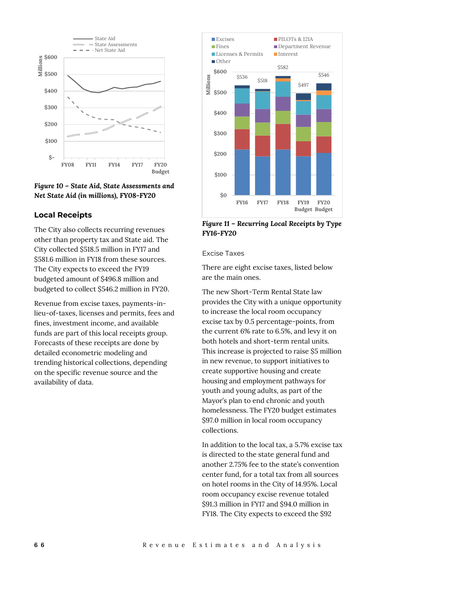

*Figure 10 – State Aid, State Assessments and Net State Aid (in millions), FY08-FY20*

# **Local Receipts**

The City also collects recurring revenues other than property tax and State aid. The City collected \$518.5 million in FY17 and \$581.6 million in FY18 from these sources. The City expects to exceed the FY19 budgeted amount of \$496.8 million and budgeted to collect \$546.2 million in FY20.

Revenue from excise taxes, payments-inlieu-of-taxes, licenses and permits, fees and fines, investment income, and available funds are part of this local receipts group. Forecasts of these receipts are done by detailed econometric modeling and trending historical collections, depending on the specific revenue source and the availability of data.



*Figure 11 – Recurring Local Receipts by Type FY16-FY20*

## Excise Taxes

There are eight excise taxes, listed below are the main ones.

The new Short-Term Rental State law provides the City with a unique opportunity to increase the local room occupancy excise tax by 0.5 percentage-points, from the current 6% rate to 6.5%, and levy it on both hotels and short-term rental units. This increase is projected to raise \$5 million in new revenue, to support initiatives to create supportive housing and create housing and employment pathways for youth and young adults, as part of the Mayor's plan to end chronic and youth homelessness. The FY20 budget estimates \$97.0 million in local room occupancy collections.

In addition to the local tax, a 5.7% excise tax is directed to the state general fund and another 2.75% fee to the state's convention center fund, for a total tax from all sources on hotel rooms in the City of 14.95%. Local room occupancy excise revenue totaled \$91.3 million in FY17 and \$94.0 million in FY18. The City expects to exceed the \$92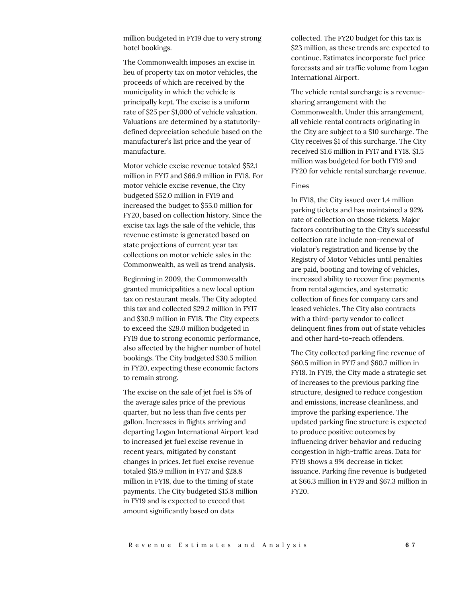million budgeted in FY19 due to very strong hotel bookings.

The Commonwealth imposes an excise in lieu of property tax on motor vehicles, the proceeds of which are received by the municipality in which the vehicle is principally kept. The excise is a uniform rate of \$25 per \$1,000 of vehicle valuation. Valuations are determined by a statutorilydefined depreciation schedule based on the manufacturer's list price and the year of manufacture.

Motor vehicle excise revenue totaled \$52.1 million in FY17 and \$66.9 million in FY18. For motor vehicle excise revenue, the City budgeted \$52.0 million in FY19 and increased the budget to \$55.0 million for FY20, based on collection history. Since the excise tax lags the sale of the vehicle, this revenue estimate is generated based on state projections of current year tax collections on motor vehicle sales in the Commonwealth, as well as trend analysis.

Beginning in 2009, the Commonwealth granted municipalities a new local option tax on restaurant meals. The City adopted this tax and collected \$29.2 million in FY17 and \$30.9 million in FY18. The City expects to exceed the \$29.0 million budgeted in FY19 due to strong economic performance, also affected by the higher number of hotel bookings. The City budgeted \$30.5 million in FY20, expecting these economic factors to remain strong.

The excise on the sale of jet fuel is 5% of the average sales price of the previous quarter, but no less than five cents per gallon. Increases in flights arriving and departing Logan International Airport lead to increased jet fuel excise revenue in recent years, mitigated by constant changes in prices. Jet fuel excise revenue totaled \$15.9 million in FY17 and \$28.8 million in FY18, due to the timing of state payments. The City budgeted \$15.8 million in FY19 and is expected to exceed that amount significantly based on data

collected. The FY20 budget for this tax is \$23 million, as these trends are expected to continue. Estimates incorporate fuel price forecasts and air traffic volume from Logan International Airport.

The vehicle rental surcharge is a revenuesharing arrangement with the Commonwealth. Under this arrangement, all vehicle rental contracts originating in the City are subject to a \$10 surcharge. The City receives \$1 of this surcharge. The City received \$1.6 million in FY17 and FY18. \$1.5 million was budgeted for both FY19 and FY20 for vehicle rental surcharge revenue.

#### Fines

In FY18, the City issued over 1.4 million parking tickets and has maintained a 92% rate of collection on those tickets. Major factors contributing to the City's successful collection rate include non-renewal of violator's registration and license by the Registry of Motor Vehicles until penalties are paid, booting and towing of vehicles, increased ability to recover fine payments from rental agencies, and systematic collection of fines for company cars and leased vehicles. The City also contracts with a third-party vendor to collect delinquent fines from out of state vehicles and other hard-to-reach offenders.

The City collected parking fine revenue of \$60.5 million in FY17 and \$60.7 million in FY18. In FY19, the City made a strategic set of increases to the previous parking fine structure, designed to reduce congestion and emissions, increase cleanliness, and improve the parking experience. The updated parking fine structure is expected to produce positive outcomes by influencing driver behavior and reducing congestion in high-traffic areas. Data for FY19 shows a 9% decrease in ticket issuance. Parking fine revenue is budgeted at \$66.3 million in FY19 and \$67.3 million in FY20.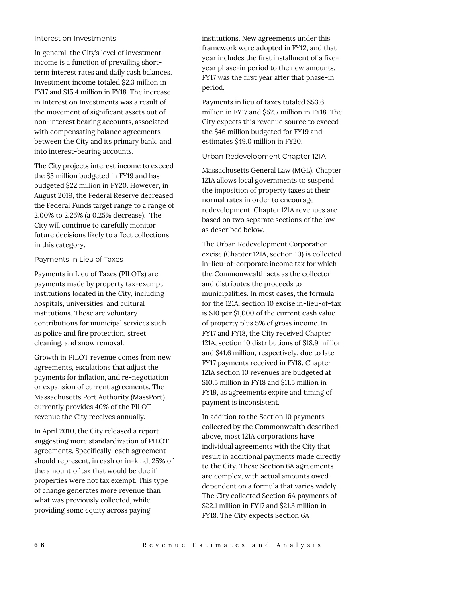#### Interest on Investments

In general, the City's level of investment income is a function of prevailing shortterm interest rates and daily cash balances. Investment income totaled \$2.3 million in FY17 and \$15.4 million in FY18. The increase in Interest on Investments was a result of the movement of significant assets out of non-interest bearing accounts, associated with compensating balance agreements between the City and its primary bank, and into interest-bearing accounts.

The City projects interest income to exceed the \$5 million budgeted in FY19 and has budgeted \$22 million in FY20. However, in August 2019, the Federal Reserve decreased the Federal Funds target range to a range of 2.00% to 2.25% (a 0.25% decrease). The City will continue to carefully monitor future decisions likely to affect collections in this category.

#### Payments in Lieu of Taxes

Payments in Lieu of Taxes (PILOTs) are payments made by property tax-exempt institutions located in the City, including hospitals, universities, and cultural institutions. These are voluntary contributions for municipal services such as police and fire protection, street cleaning, and snow removal.

Growth in PILOT revenue comes from new agreements, escalations that adjust the payments for inflation, and re-negotiation or expansion of current agreements. The Massachusetts Port Authority (MassPort) currently provides 40% of the PILOT revenue the City receives annually.

In April 2010, the City released a report suggesting more standardization of PILOT agreements. Specifically, each agreement should represent, in cash or in-kind, 25% of the amount of tax that would be due if properties were not tax exempt. This type of change generates more revenue than what was previously collected, while providing some equity across paying

institutions. New agreements under this framework were adopted in FY12, and that year includes the first installment of a fiveyear phase-in period to the new amounts. FY17 was the first year after that phase-in period.

Payments in lieu of taxes totaled \$53.6 million in FY17 and \$52.7 million in FY18. The City expects this revenue source to exceed the \$46 million budgeted for FY19 and estimates \$49.0 million in FY20.

Urban Redevelopment Chapter 121A

Massachusetts General Law (MGL), Chapter 121A allows local governments to suspend the imposition of property taxes at their normal rates in order to encourage redevelopment. Chapter 121A revenues are based on two separate sections of the law as described below.

The Urban Redevelopment Corporation excise (Chapter 121A, section 10) is collected in-lieu-of-corporate income tax for which the Commonwealth acts as the collector and distributes the proceeds to municipalities. In most cases, the formula for the 121A, section 10 excise in-lieu-of-tax is \$10 per \$1,000 of the current cash value of property plus 5% of gross income. In FY17 and FY18, the City received Chapter 121A, section 10 distributions of \$18.9 million and \$41.6 million, respectively, due to late FY17 payments received in FY18. Chapter 121A section 10 revenues are budgeted at \$10.5 million in FY18 and \$11.5 million in FY19, as agreements expire and timing of payment is inconsistent.

In addition to the Section 10 payments collected by the Commonwealth described above, most 121A corporations have individual agreements with the City that result in additional payments made directly to the City. These Section 6A agreements are complex, with actual amounts owed dependent on a formula that varies widely. The City collected Section 6A payments of \$22.1 million in FY17 and \$21.3 million in FY18. The City expects Section 6A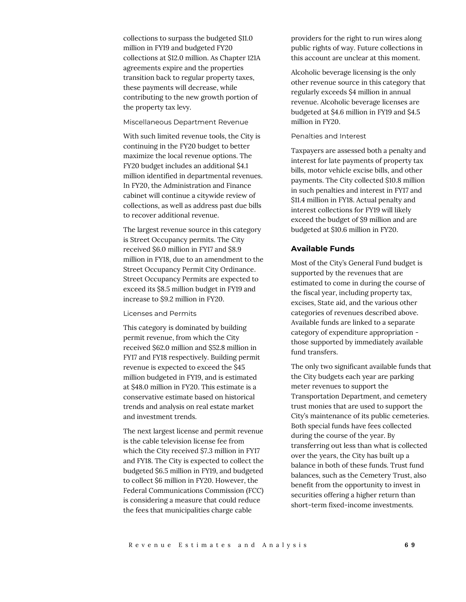collections to surpass the budgeted \$11.0 million in FY19 and budgeted FY20 collections at \$12.0 million. As Chapter 121A agreements expire and the properties transition back to regular property taxes, these payments will decrease, while contributing to the new growth portion of the property tax levy.

#### Miscellaneous Department Revenue

With such limited revenue tools, the City is continuing in the FY20 budget to better maximize the local revenue options. The FY20 budget includes an additional \$4.1 million identified in departmental revenues. In FY20, the Administration and Finance cabinet will continue a citywide review of collections, as well as address past due bills to recover additional revenue.

The largest revenue source in this category is Street Occupancy permits. The City received \$6.0 million in FY17 and \$8.9 million in FY18, due to an amendment to the Street Occupancy Permit City Ordinance. Street Occupancy Permits are expected to exceed its \$8.5 million budget in FY19 and increase to \$9.2 million in FY20.

## Licenses and Permits

This category is dominated by building permit revenue, from which the City received \$62.0 million and \$52.8 million in FY17 and FY18 respectively. Building permit revenue is expected to exceed the \$45 million budgeted in FY19, and is estimated at \$48.0 million in FY20. This estimate is a conservative estimate based on historical trends and analysis on real estate market and investment trends.

The next largest license and permit revenue is the cable television license fee from which the City received \$7.3 million in FY17 and FY18. The City is expected to collect the budgeted \$6.5 million in FY19, and budgeted to collect \$6 million in FY20. However, the Federal Communications Commission (FCC) is considering a measure that could reduce the fees that municipalities charge cable

providers for the right to run wires along public rights of way. Future collections in this account are unclear at this moment.

Alcoholic beverage licensing is the only other revenue source in this category that regularly exceeds \$4 million in annual revenue. Alcoholic beverage licenses are budgeted at \$4.6 million in FY19 and \$4.5 million in FY20.

#### Penalties and Interest

Taxpayers are assessed both a penalty and interest for late payments of property tax bills, motor vehicle excise bills, and other payments. The City collected \$10.8 million in such penalties and interest in FY17 and \$11.4 million in FY18. Actual penalty and interest collections for FY19 will likely exceed the budget of \$9 million and are budgeted at \$10.6 million in FY20.

## **Available Funds**

Most of the City's General Fund budget is supported by the revenues that are estimated to come in during the course of the fiscal year, including property tax, excises, State aid, and the various other categories of revenues described above. Available funds are linked to a separate category of expenditure appropriation those supported by immediately available fund transfers.

The only two significant available funds that the City budgets each year are parking meter revenues to support the Transportation Department, and cemetery trust monies that are used to support the City's maintenance of its public cemeteries. Both special funds have fees collected during the course of the year. By transferring out less than what is collected over the years, the City has built up a balance in both of these funds. Trust fund balances, such as the Cemetery Trust, also benefit from the opportunity to invest in securities offering a higher return than short-term fixed-income investments.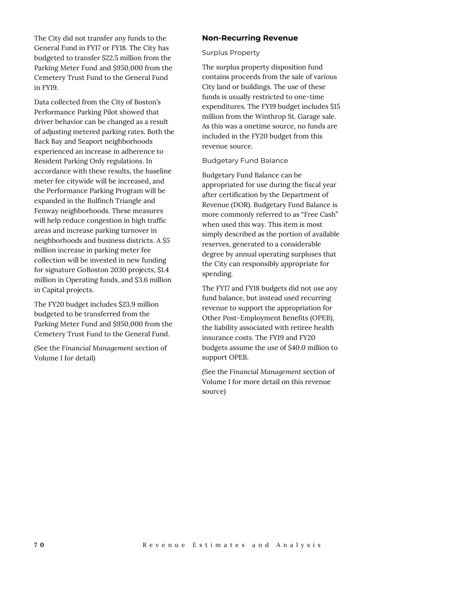The City did not transfer any funds to the General Fund in FY17 or FY18. The City has budgeted to transfer \$22.5 million from the Parking Meter Fund and \$950,000 from the Cemetery Trust Fund to the General Fund in FY19.

Data collected from the City of Boston's Performance Parking Pilot showed that driver behavior can be changed as a result of adjusting metered parking rates. Both the Back Bay and Seaport neighborhoods experienced an increase in adherence to Resident Parking Only regulations. In accordance with these results, the baseline meter fee citywide will be increased, and the Performance Parking Program will be expanded in the Bulfinch Triangle and Fenway neighborhoods. These measures will help reduce congestion in high traffic areas and increase parking turnover in neighborhoods and business districts. A \$5 million increase in parking meter fee collection will be invested in new funding for signature GoBoston 2030 projects, \$1.4 million in Operating funds, and \$3.6 million in Capital projects.

The FY20 budget includes \$23.9 million budgeted to be transferred from the Parking Meter Fund and \$950,000 from the Cemetery Trust Fund to the General Fund.

(See the *Financial Management* section of Volume I for detail)

# **Non-Recurring Revenue**

## Surplus Property

The surplus property disposition fund contains proceeds from the sale of various City land or buildings. The use of these funds is usually restricted to one-time expenditures. The FY19 budget includes \$15 million from the Winthrop St. Garage sale. As this was a onetime source, no funds are included in the FY20 budget from this revenue source.

Budgetary Fund Balance

Budgetary Fund Balance can be appropriated for use during the fiscal year after certification by the Department of Revenue (DOR). Budgetary Fund Balance is more commonly referred to as "Free Cash" when used this way. This item is most simply described as the portion of available reserves, generated to a considerable degree by annual operating surpluses that the City can responsibly appropriate for spending.

The FY17 and FY18 budgets did not use any fund balance, but instead used recurring revenue to support the appropriation for Other Post-Employment Benefits (OPEB), the liability associated with retiree health insurance costs. The FY19 and FY20 budgets assume the use of \$40.0 million to support OPEB.

(See the *Financial Management* section of Volume I for more detail on this revenue source)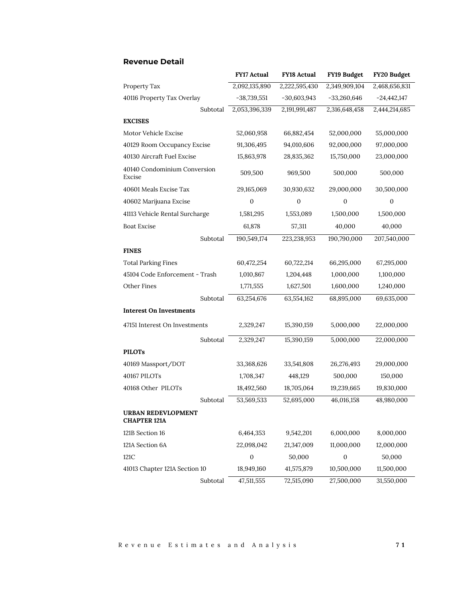|                                                  | <b>FY17 Actual</b> | <b>FY18 Actual</b> | FY19 Budget      | FY20 Budget      |
|--------------------------------------------------|--------------------|--------------------|------------------|------------------|
| Property Tax                                     | 2,092,135,890      | 2,222,595,430      | 2,349,909,104    | 2,468,656,831    |
| 40116 Property Tax Overlay                       | $-38,739,551$      | $-30,603,943$      | $-33,260,646$    | $-24,442,147$    |
| Subtotal                                         | 2,053,396,339      | 2,191,991,487      | 2,316,648,458    | 2,444,214,685    |
| <b>EXCISES</b>                                   |                    |                    |                  |                  |
| Motor Vehicle Excise                             | 52,060,958         | 66,882,454         | 52,000,000       | 55,000,000       |
| 40129 Room Occupancy Excise                      | 91,306,495         | 94,010,606         | 92,000,000       | 97,000,000       |
| 40130 Aircraft Fuel Excise                       | 15,863,978         | 28,835,362         | 15,750,000       | 23,000,000       |
| 40140 Condominium Conversion<br>Excise           | 509,500            | 969,500            | 500,000          | 500,000          |
| 40601 Meals Excise Tax                           | 29,165,069         | 30,930,632         | 29,000,000       | 30,500,000       |
| 40602 Marijuana Excise                           | $\mathbf{0}$       | $\mathbf{0}$       | $\mathbf{0}$     | $\boldsymbol{0}$ |
| 41113 Vehicle Rental Surcharge                   | 1,581,295          | 1,553,089          | 1,500,000        | 1,500,000        |
| <b>Boat Excise</b>                               | 61,878             | 57,311             | 40,000           | 40,000           |
| Subtotal                                         | 190,549,174        | 223,238,953        | 190,790,000      | 207,540,000      |
| <b>FINES</b>                                     |                    |                    |                  |                  |
| <b>Total Parking Fines</b>                       | 60,472,254         | 60,722,214         | 66,295,000       | 67,295,000       |
| 45104 Code Enforcement - Trash                   | 1,010,867          | 1,204,448          | 1,000,000        | 1,100,000        |
| Other Fines                                      | 1,771,555          | 1,627,501          | 1,600,000        | 1,240,000        |
| Subtotal                                         | 63,254,676         | 63,554,162         | 68,895,000       | 69,635,000       |
| <b>Interest On Investments</b>                   |                    |                    |                  |                  |
| 47151 Interest On Investments                    | 2,329,247          | 15,390,159         | 5,000,000        | 22,000,000       |
| Subtotal                                         | 2,329,247          | 15,390,159         | 5,000,000        | 22,000,000       |
| <b>PILOTs</b>                                    |                    |                    |                  |                  |
| 40169 Massport/DOT                               | 33,368,626         | 33,541,808         | 26,276,493       | 29,000,000       |
| 40167 PILOTs                                     | 1,708,347          | 448,129            | 500,000          | 150,000          |
| 40168 Other PILOTs                               | 18,492,560         | 18,705,064         | 19,239,665       | 19,830,000       |
| Subtotal                                         | 53,569,533         | 52,695,000         | 46,016,158       | 48,980,000       |
| <b>URBAN REDEVLOPMENT</b><br><b>CHAPTER 121A</b> |                    |                    |                  |                  |
| 121B Section 16                                  | 6,464,353          | 9,542,201          | 6,000,000        | 8,000,000        |
| 121A Section 6A                                  | 22,098,042         | 21,347,009         | 11,000,000       | 12,000,000       |
| 121C                                             | $\mathbf{0}$       | 50,000             | $\boldsymbol{0}$ | 50,000           |
| 41013 Chapter 121A Section 10                    | 18,949,160         | 41,575,879         | 10,500,000       | 11,500,000       |
| Subtotal                                         | 47,511,555         | 72,515,090         | 27,500,000       | 31,550,000       |

# **Revenue Detail**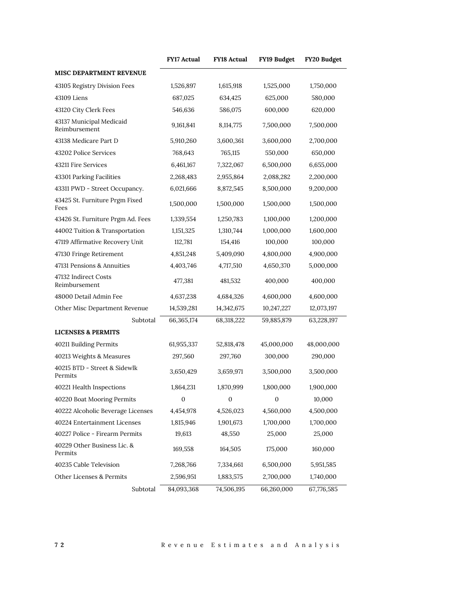|                                           | <b>FY17 Actual</b> | <b>FY18 Actual</b> | FY19 Budget      | FY20 Budget |
|-------------------------------------------|--------------------|--------------------|------------------|-------------|
| <b>MISC DEPARTMENT REVENUE</b>            |                    |                    |                  |             |
| 43105 Registry Division Fees              | 1,526,897          | 1,615,918          | 1,525,000        | 1,750,000   |
| 43109 Liens                               | 687,025            | 634,425            | 625,000          | 580,000     |
| 43120 City Clerk Fees                     | 546,636            | 586,075            | 600,000          | 620,000     |
| 43137 Municipal Medicaid<br>Reimbursement | 9,161,841          | 8,114,775          | 7,500,000        | 7,500,000   |
| 43138 Medicare Part D                     | 5,910,260          | 3,600,361          | 3,600,000        | 2,700,000   |
| 43202 Police Services                     | 768,643            | 765,115            | 550,000          | 650,000     |
| 43211 Fire Services                       | 6,461,167          | 7,322,067          | 6,500,000        | 6,655,000   |
| 43301 Parking Facilities                  | 2,268,483          | 2,955,864          | 2,088,282        | 2,200,000   |
| 43311 PWD - Street Occupancy.             | 6,021,666          | 8,872,545          | 8,500,000        | 9,200,000   |
| 43425 St. Furniture Prgm Fixed<br>Fees    | 1,500,000          | 1,500,000          | 1,500,000        | 1,500,000   |
| 43426 St. Furniture Prgm Ad. Fees         | 1,339,554          | 1,250,783          | 1,100,000        | 1,200,000   |
| 44002 Tuition & Transportation            | 1,151,325          | 1,310,744          | 1,000,000        | 1,600,000   |
| 47119 Affirmative Recovery Unit           | 112,781            | 154,416            | 100,000          | 100,000     |
| 47130 Fringe Retirement                   | 4,851,248          | 5,409,090          | 4,800,000        | 4,900,000   |
| 47131 Pensions & Annuities                | 4,403,746          | 4,717,510          | 4,650,370        | 5,000,000   |
| 47132 Indirect Costs<br>Reimbursement     | 477,381            | 481,532            | 400,000          | 400,000     |
| 48000 Detail Admin Fee                    | 4,637,238          | 4,684,326          | 4,600,000        | 4,600,000   |
| Other Misc Department Revenue             | 14,539,281         | 14,342,675         | 10,247,227       | 12,073,197  |
| Subtotal                                  | 66,365,174         | 68,318,222         | 59,885,879       | 63,228,197  |
| <b>LICENSES &amp; PERMITS</b>             |                    |                    |                  |             |
| 40211 Building Permits                    | 61,955,337         | 52,818,478         | 45,000,000       | 48,000,000  |
| 40213 Weights & Measures                  | 297,560            | 297,760            | 300,000          | 290,000     |
| 40215 BTD - Street & Sidewlk<br>Permits   | 3,650,429          | 3,659,971          | 3,500,000        | 3,500,000   |
| 40221 Health Inspections                  | 1,864,231          | 1,870,999          | 1,800,000        | 1,900,000   |
| 40220 Boat Mooring Permits                | $\boldsymbol{0}$   | $\boldsymbol{0}$   | $\boldsymbol{0}$ | 10,000      |
| 40222 Alcoholic Beverage Licenses         | 4,454,978          | 4,526,023          | 4,560,000        | 4,500,000   |
| 40224 Entertainment Licenses              | 1,815,946          | 1,901,673          | 1,700,000        | 1,700,000   |
| 40227 Police - Firearm Permits            | 19,613             | 48,550             | 25,000           | 25,000      |
| 40229 Other Business Lic. &<br>Permits    | 169,558            | 164,505            | 175,000          | 160,000     |
| 40235 Cable Television                    | 7,268,766          | 7,334,661          | 6,500,000        | 5,951,585   |
| Other Licenses & Permits                  | 2,596,951          | 1,883,575          | 2,700,000        | 1,740,000   |
| Subtotal                                  | 84,093,368         | 74,506,195         | 66,260,000       | 67,776,585  |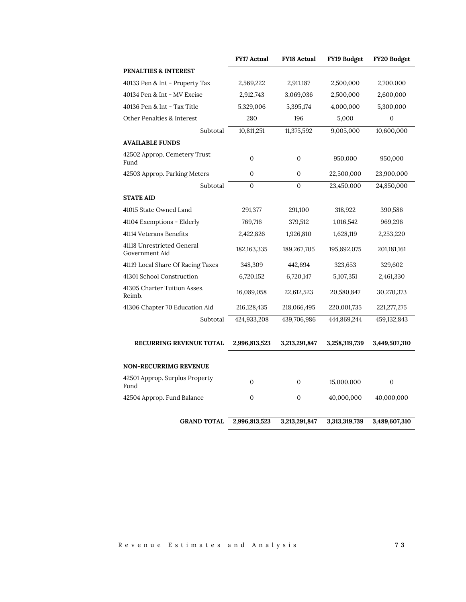|                                              | <b>FY17 Actual</b> | <b>FY18 Actual</b> | FY19 Budget   | FY20 Budget      |
|----------------------------------------------|--------------------|--------------------|---------------|------------------|
| PENALTIES & INTEREST                         |                    |                    |               |                  |
| 40133 Pen & Int - Property Tax               | 2,569,222          | 2,911,187          | 2,500,000     | 2,700,000        |
| 40134 Pen & Int - MV Excise                  | 2,912,743          | 3,069,036          | 2,500,000     | 2,600,000        |
| 40136 Pen & Int - Tax Title                  | 5,329,006          | 5,395,174          | 4,000,000     | 5,300,000        |
| Other Penalties & Interest                   | 280                | 196                | 5,000         | $\boldsymbol{0}$ |
| Subtotal                                     | 10,811,251         | 11,375,592         | 9,005,000     | 10,600,000       |
| <b>AVAILABLE FUNDS</b>                       |                    |                    |               |                  |
| 42502 Approp. Cemetery Trust<br>Fund         | $\boldsymbol{0}$   | $\mathbf{0}$       | 950,000       | 950,000          |
| 42503 Approp. Parking Meters                 | $\mathbf{0}$       | 0                  | 22,500,000    | 23,900,000       |
| Subtotal                                     | $\boldsymbol{0}$   | $\mathbf{0}$       | 23,450,000    | 24,850,000       |
| <b>STATE AID</b>                             |                    |                    |               |                  |
| 41015 State Owned Land                       | 291,377            | 291,100            | 318,922       | 390,586          |
| 41104 Exemptions - Elderly                   | 769,716            | 379,512            | 1,016,542     | 969,296          |
| 41114 Veterans Benefits                      | 2,422,826          | 1,926,810          | 1,628,119     | 2,253,220        |
| 41118 Unrestricted General<br>Government Aid | 182, 163, 335      | 189,267,705        | 195,892,075   | 201,181,161      |
| 41119 Local Share Of Racing Taxes            | 348,309            | 442,694            | 323,653       | 329,602          |
| 41301 School Construction                    | 6,720,152          | 6,720,147          | 5,107,351     | 2,461,330        |
| 41305 Charter Tuition Asses.<br>Reimb.       | 16,089,058         | 22,612,523         | 20,580,847    | 30,270,373       |
| 41306 Chapter 70 Education Aid               | 216,128,435        | 218,066,495        | 220,001,735   | 221, 277, 275    |
| Subtotal                                     | 424,933,208        | 439,706,986        | 444,869,244   | 459,132,843      |
| <b>RECURRING REVENUE TOTAL</b>               | 2,996,813,523      | 3,213,291,847      | 3,258,319,739 | 3,449,507,310    |
|                                              |                    |                    |               |                  |
| <b>NON-RECURRIMG REVENUE</b>                 |                    |                    |               |                  |
| 42501 Approp. Surplus Property<br>Fund       | $\Omega$           | $\Omega$           | 15,000,000    | $\boldsymbol{0}$ |
| 42504 Approp. Fund Balance                   | $\mathbf{0}$       | 0                  | 40,000,000    | 40,000,000       |
| <b>GRAND TOTAL</b>                           | 2,996,813,523      | 3,213,291,847      | 3,313,319,739 | 3,489,607,310    |